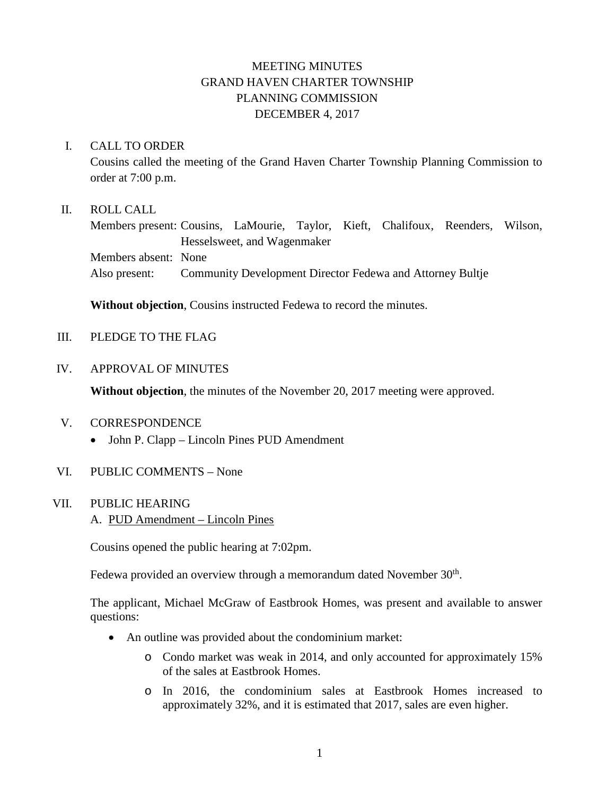# MEETING MINUTES GRAND HAVEN CHARTER TOWNSHIP PLANNING COMMISSION DECEMBER 4, 2017

### I. CALL TO ORDER

Cousins called the meeting of the Grand Haven Charter Township Planning Commission to order at 7:00 p.m.

### II. ROLL CALL

Members present: Cousins, LaMourie, Taylor, Kieft, Chalifoux, Reenders, Wilson, Hesselsweet, and Wagenmaker Members absent: None Also present: Community Development Director Fedewa and Attorney Bultje

**Without objection**, Cousins instructed Fedewa to record the minutes.

III. PLEDGE TO THE FLAG

#### IV. APPROVAL OF MINUTES

**Without objection**, the minutes of the November 20, 2017 meeting were approved.

### V. CORRESPONDENCE

• John P. Clapp – Lincoln Pines PUD Amendment

#### VI. PUBLIC COMMENTS – None

### VII. PUBLIC HEARING

A. PUD Amendment – Lincoln Pines

Cousins opened the public hearing at 7:02pm.

Fedewa provided an overview through a memorandum dated November 30<sup>th</sup>.

The applicant, Michael McGraw of Eastbrook Homes, was present and available to answer questions:

- An outline was provided about the condominium market:
	- o Condo market was weak in 2014, and only accounted for approximately 15% of the sales at Eastbrook Homes.
	- o In 2016, the condominium sales at Eastbrook Homes increased to approximately 32%, and it is estimated that 2017, sales are even higher.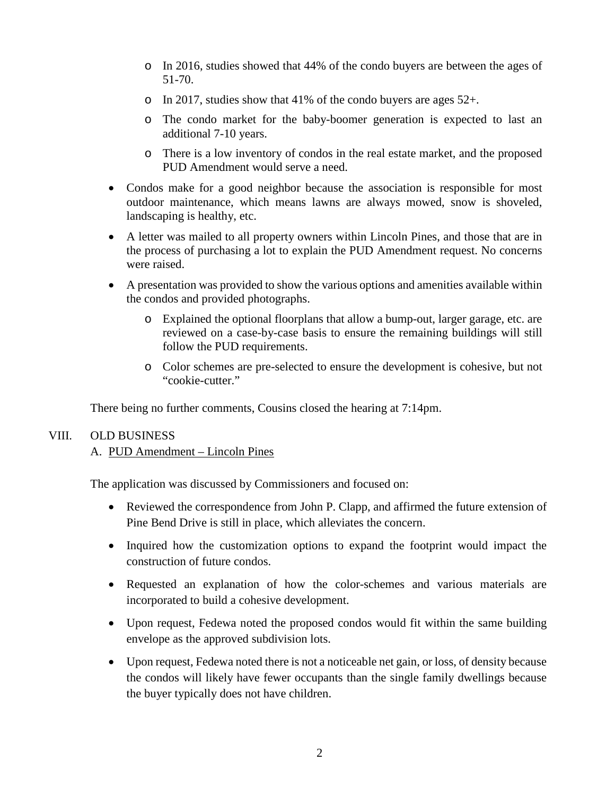- o In 2016, studies showed that 44% of the condo buyers are between the ages of 51-70.
- o In 2017, studies show that 41% of the condo buyers are ages 52+.
- o The condo market for the baby-boomer generation is expected to last an additional 7-10 years.
- o There is a low inventory of condos in the real estate market, and the proposed PUD Amendment would serve a need.
- Condos make for a good neighbor because the association is responsible for most outdoor maintenance, which means lawns are always mowed, snow is shoveled, landscaping is healthy, etc.
- A letter was mailed to all property owners within Lincoln Pines, and those that are in the process of purchasing a lot to explain the PUD Amendment request. No concerns were raised.
- A presentation was provided to show the various options and amenities available within the condos and provided photographs.
	- o Explained the optional floorplans that allow a bump-out, larger garage, etc. are reviewed on a case-by-case basis to ensure the remaining buildings will still follow the PUD requirements.
	- o Color schemes are pre-selected to ensure the development is cohesive, but not "cookie-cutter."

There being no further comments, Cousins closed the hearing at 7:14pm.

### VIII. OLD BUSINESS

## A. PUD Amendment – Lincoln Pines

The application was discussed by Commissioners and focused on:

- Reviewed the correspondence from John P. Clapp, and affirmed the future extension of Pine Bend Drive is still in place, which alleviates the concern.
- Inquired how the customization options to expand the footprint would impact the construction of future condos.
- Requested an explanation of how the color-schemes and various materials are incorporated to build a cohesive development.
- Upon request, Fedewa noted the proposed condos would fit within the same building envelope as the approved subdivision lots.
- Upon request, Fedewa noted there is not a noticeable net gain, or loss, of density because the condos will likely have fewer occupants than the single family dwellings because the buyer typically does not have children.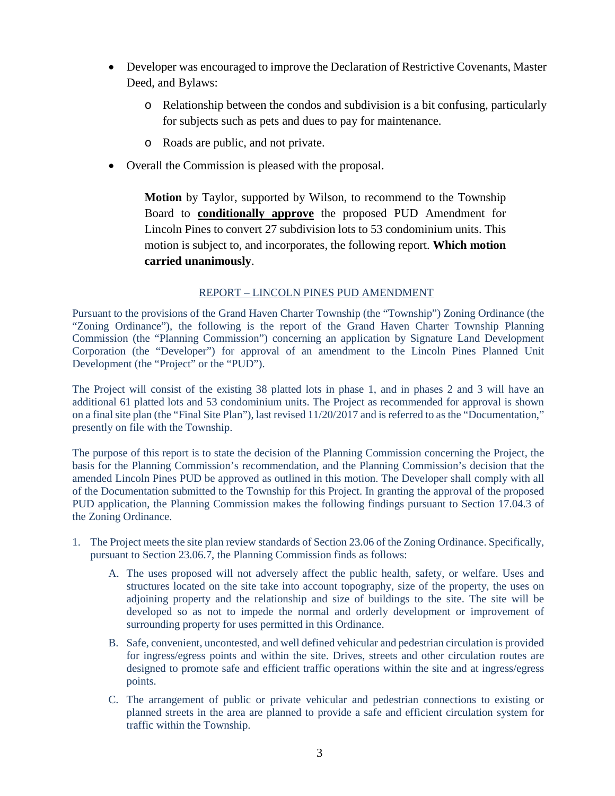- Developer was encouraged to improve the Declaration of Restrictive Covenants, Master Deed, and Bylaws:
	- o Relationship between the condos and subdivision is a bit confusing, particularly for subjects such as pets and dues to pay for maintenance.
	- o Roads are public, and not private.
- Overall the Commission is pleased with the proposal.

**Motion** by Taylor, supported by Wilson, to recommend to the Township Board to **conditionally approve** the proposed PUD Amendment for Lincoln Pines to convert 27 subdivision lots to 53 condominium units. This motion is subject to, and incorporates, the following report. **Which motion carried unanimously**.

#### REPORT – LINCOLN PINES PUD AMENDMENT

Pursuant to the provisions of the Grand Haven Charter Township (the "Township") Zoning Ordinance (the "Zoning Ordinance"), the following is the report of the Grand Haven Charter Township Planning Commission (the "Planning Commission") concerning an application by Signature Land Development Corporation (the "Developer") for approval of an amendment to the Lincoln Pines Planned Unit Development (the "Project" or the "PUD").

The Project will consist of the existing 38 platted lots in phase 1, and in phases 2 and 3 will have an additional 61 platted lots and 53 condominium units. The Project as recommended for approval is shown on a final site plan (the "Final Site Plan"), last revised 11/20/2017 and is referred to as the "Documentation," presently on file with the Township.

The purpose of this report is to state the decision of the Planning Commission concerning the Project, the basis for the Planning Commission's recommendation, and the Planning Commission's decision that the amended Lincoln Pines PUD be approved as outlined in this motion. The Developer shall comply with all of the Documentation submitted to the Township for this Project. In granting the approval of the proposed PUD application, the Planning Commission makes the following findings pursuant to Section 17.04.3 of the Zoning Ordinance.

- 1. The Project meets the site plan review standards of Section 23.06 of the Zoning Ordinance. Specifically, pursuant to Section 23.06.7, the Planning Commission finds as follows:
	- A. The uses proposed will not adversely affect the public health, safety, or welfare. Uses and structures located on the site take into account topography, size of the property, the uses on adjoining property and the relationship and size of buildings to the site. The site will be developed so as not to impede the normal and orderly development or improvement of surrounding property for uses permitted in this Ordinance.
	- B. Safe, convenient, uncontested, and well defined vehicular and pedestrian circulation is provided for ingress/egress points and within the site. Drives, streets and other circulation routes are designed to promote safe and efficient traffic operations within the site and at ingress/egress points.
	- C. The arrangement of public or private vehicular and pedestrian connections to existing or planned streets in the area are planned to provide a safe and efficient circulation system for traffic within the Township.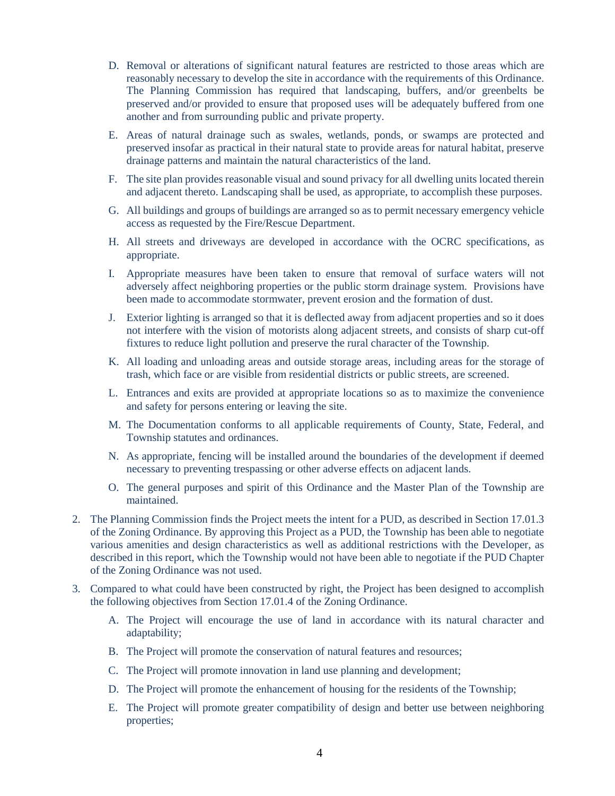- D. Removal or alterations of significant natural features are restricted to those areas which are reasonably necessary to develop the site in accordance with the requirements of this Ordinance. The Planning Commission has required that landscaping, buffers, and/or greenbelts be preserved and/or provided to ensure that proposed uses will be adequately buffered from one another and from surrounding public and private property.
- E. Areas of natural drainage such as swales, wetlands, ponds, or swamps are protected and preserved insofar as practical in their natural state to provide areas for natural habitat, preserve drainage patterns and maintain the natural characteristics of the land.
- F. The site plan provides reasonable visual and sound privacy for all dwelling units located therein and adjacent thereto. Landscaping shall be used, as appropriate, to accomplish these purposes.
- G. All buildings and groups of buildings are arranged so as to permit necessary emergency vehicle access as requested by the Fire/Rescue Department.
- H. All streets and driveways are developed in accordance with the OCRC specifications, as appropriate.
- I. Appropriate measures have been taken to ensure that removal of surface waters will not adversely affect neighboring properties or the public storm drainage system. Provisions have been made to accommodate stormwater, prevent erosion and the formation of dust.
- J. Exterior lighting is arranged so that it is deflected away from adjacent properties and so it does not interfere with the vision of motorists along adjacent streets, and consists of sharp cut-off fixtures to reduce light pollution and preserve the rural character of the Township.
- K. All loading and unloading areas and outside storage areas, including areas for the storage of trash, which face or are visible from residential districts or public streets, are screened.
- L. Entrances and exits are provided at appropriate locations so as to maximize the convenience and safety for persons entering or leaving the site.
- M. The Documentation conforms to all applicable requirements of County, State, Federal, and Township statutes and ordinances.
- N. As appropriate, fencing will be installed around the boundaries of the development if deemed necessary to preventing trespassing or other adverse effects on adjacent lands.
- O. The general purposes and spirit of this Ordinance and the Master Plan of the Township are maintained.
- 2. The Planning Commission finds the Project meets the intent for a PUD, as described in Section 17.01.3 of the Zoning Ordinance. By approving this Project as a PUD, the Township has been able to negotiate various amenities and design characteristics as well as additional restrictions with the Developer, as described in this report, which the Township would not have been able to negotiate if the PUD Chapter of the Zoning Ordinance was not used.
- 3. Compared to what could have been constructed by right, the Project has been designed to accomplish the following objectives from Section 17.01.4 of the Zoning Ordinance.
	- A. The Project will encourage the use of land in accordance with its natural character and adaptability;
	- B. The Project will promote the conservation of natural features and resources;
	- C. The Project will promote innovation in land use planning and development;
	- D. The Project will promote the enhancement of housing for the residents of the Township;
	- E. The Project will promote greater compatibility of design and better use between neighboring properties;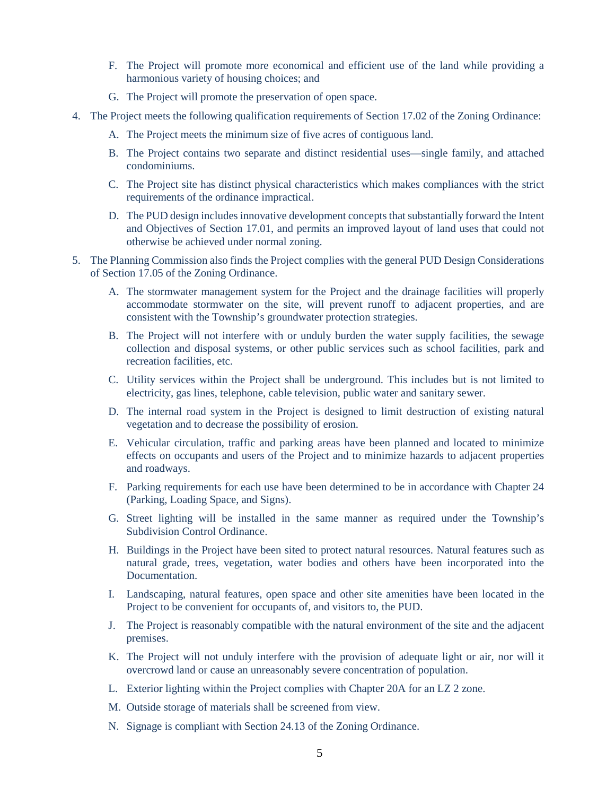- F. The Project will promote more economical and efficient use of the land while providing a harmonious variety of housing choices; and
- G. The Project will promote the preservation of open space.
- 4. The Project meets the following qualification requirements of Section 17.02 of the Zoning Ordinance:
	- A. The Project meets the minimum size of five acres of contiguous land.
	- B. The Project contains two separate and distinct residential uses—single family, and attached condominiums.
	- C. The Project site has distinct physical characteristics which makes compliances with the strict requirements of the ordinance impractical.
	- D. The PUD design includes innovative development concepts that substantially forward the Intent and Objectives of Section 17.01, and permits an improved layout of land uses that could not otherwise be achieved under normal zoning.
- 5. The Planning Commission also finds the Project complies with the general PUD Design Considerations of Section 17.05 of the Zoning Ordinance.
	- A. The stormwater management system for the Project and the drainage facilities will properly accommodate stormwater on the site, will prevent runoff to adjacent properties, and are consistent with the Township's groundwater protection strategies.
	- B. The Project will not interfere with or unduly burden the water supply facilities, the sewage collection and disposal systems, or other public services such as school facilities, park and recreation facilities, etc.
	- C. Utility services within the Project shall be underground. This includes but is not limited to electricity, gas lines, telephone, cable television, public water and sanitary sewer.
	- D. The internal road system in the Project is designed to limit destruction of existing natural vegetation and to decrease the possibility of erosion.
	- E. Vehicular circulation, traffic and parking areas have been planned and located to minimize effects on occupants and users of the Project and to minimize hazards to adjacent properties and roadways.
	- F. Parking requirements for each use have been determined to be in accordance with Chapter 24 (Parking, Loading Space, and Signs).
	- G. Street lighting will be installed in the same manner as required under the Township's Subdivision Control Ordinance.
	- H. Buildings in the Project have been sited to protect natural resources. Natural features such as natural grade, trees, vegetation, water bodies and others have been incorporated into the Documentation.
	- I. Landscaping, natural features, open space and other site amenities have been located in the Project to be convenient for occupants of, and visitors to, the PUD.
	- J. The Project is reasonably compatible with the natural environment of the site and the adjacent premises.
	- K. The Project will not unduly interfere with the provision of adequate light or air, nor will it overcrowd land or cause an unreasonably severe concentration of population.
	- L. Exterior lighting within the Project complies with Chapter 20A for an LZ 2 zone.
	- M. Outside storage of materials shall be screened from view.
	- N. Signage is compliant with Section 24.13 of the Zoning Ordinance.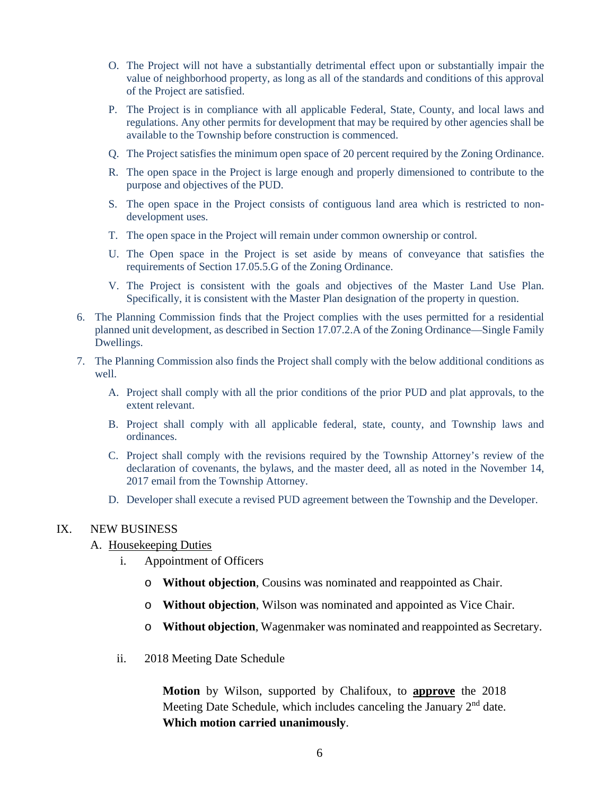- O. The Project will not have a substantially detrimental effect upon or substantially impair the value of neighborhood property, as long as all of the standards and conditions of this approval of the Project are satisfied.
- P. The Project is in compliance with all applicable Federal, State, County, and local laws and regulations. Any other permits for development that may be required by other agencies shall be available to the Township before construction is commenced.
- Q. The Project satisfies the minimum open space of 20 percent required by the Zoning Ordinance.
- R. The open space in the Project is large enough and properly dimensioned to contribute to the purpose and objectives of the PUD.
- S. The open space in the Project consists of contiguous land area which is restricted to nondevelopment uses.
- T. The open space in the Project will remain under common ownership or control.
- U. The Open space in the Project is set aside by means of conveyance that satisfies the requirements of Section 17.05.5.G of the Zoning Ordinance.
- V. The Project is consistent with the goals and objectives of the Master Land Use Plan. Specifically, it is consistent with the Master Plan designation of the property in question.
- 6. The Planning Commission finds that the Project complies with the uses permitted for a residential planned unit development, as described in Section 17.07.2.A of the Zoning Ordinance—Single Family Dwellings.
- 7. The Planning Commission also finds the Project shall comply with the below additional conditions as well.
	- A. Project shall comply with all the prior conditions of the prior PUD and plat approvals, to the extent relevant.
	- B. Project shall comply with all applicable federal, state, county, and Township laws and ordinances.
	- C. Project shall comply with the revisions required by the Township Attorney's review of the declaration of covenants, the bylaws, and the master deed, all as noted in the November 14, 2017 email from the Township Attorney.
	- D. Developer shall execute a revised PUD agreement between the Township and the Developer.

#### IX. NEW BUSINESS

- A. Housekeeping Duties
	- i. Appointment of Officers
		- o **Without objection**, Cousins was nominated and reappointed as Chair.
		- o **Without objection**, Wilson was nominated and appointed as Vice Chair.
		- o **Without objection**, Wagenmaker was nominated and reappointed as Secretary.
	- ii. 2018 Meeting Date Schedule

**Motion** by Wilson, supported by Chalifoux, to **approve** the 2018 Meeting Date Schedule, which includes canceling the January 2<sup>nd</sup> date. **Which motion carried unanimously**.